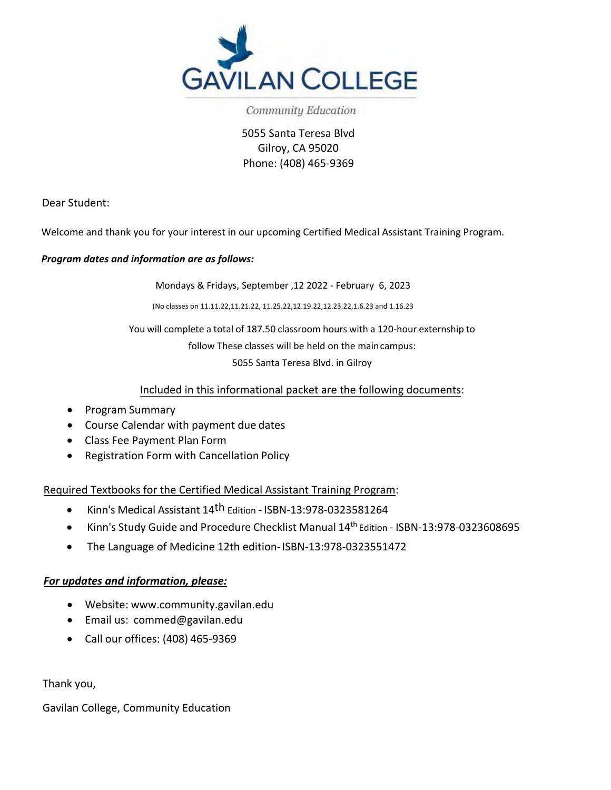

Community Education

5055 Santa Teresa Blvd Gilroy, CA 95020 Phone: (408) 465-9369

Dear Student:

Welcome and thank you for your interest in our upcoming Certified Medical Assistant Training Program.

### *Program dates and information are as follows:*

Mondays & Fridays, September ,12 2022 - February 6, 2023

(No classes on 11.11.22,11.21.22, 11.25.22,12.19.22,12.23.22,1.6.23 and 1.16.23

You will complete a total of 187.50 classroom hours with a 120-hour externship to

follow These classes will be held on the main campus:

5055 Santa Teresa Blvd. in Gilroy

### Included in this informational packet are the following documents:

- Program Summary
- Course Calendar with payment due dates
- Class Fee Payment Plan Form
- Registration Form with Cancellation Policy

Required Textbooks for the Certified Medical Assistant Training Program:

- Kinn's Medical Assistant 14th Edition ISBN-13:978-0323581264
- Kinn's Study Guide and Procedure Checklist Manual 14th Edition ISBN-13:978-0323608695
- The Language of Medicine 12th edition- ISBN-13:978-0323551472

### *For updates and information, please:*

- Website: www.community.gavilan.edu
- Email us: commed@gavilan.edu
- Call our offices: (408) 465-9369

Thank you,

Gavilan College, Community Education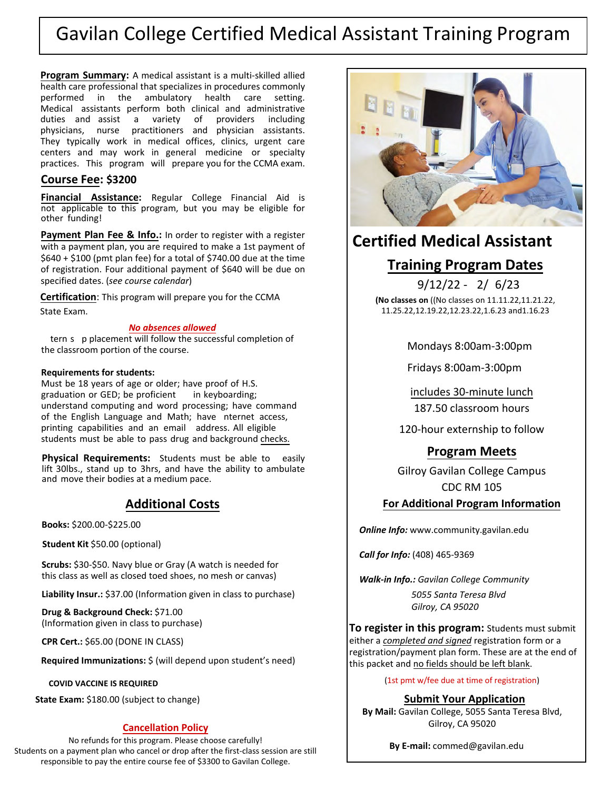# Gavilan College Certified Medical Assistant Training Program

**Program Summary:** A medical assistant is a multi-skilled allied health care professional that specializes in procedures commonly<br>performed in the ambulatory health care setting. performed in the ambulatory health care setting. Medical assistants perform both clinical and administrative duties and assist a variety of providers including physicians, nurse practitioners and physician assistants. They typically work in medical offices, clinics, urgent care centers and may work in general medicine or specialty practices. This program will prepare you for the CCMA exam.

### **Course Fee: \$3200**

**Financial Assistance:** Regular College Financial Aid is not applicable to this program, but you may be eligible for other funding!

Payment Plan Fee & Info.: In order to register with a register with a payment plan, you are required to make a 1st payment of \$640 + \$100 (pmt plan fee) for a total of \$740.00 due at the time of registration. Four additional payment of \$640 will be due on specified dates. (*see course calendar*)

**Certification**: This program will prepare you for the CCMA State Exam.

#### *No absences allowed*

tern s p placement will follow the successful completion of the classroom portion of the course.

#### **Requirements for students:**

Must be 18 years of age or older; have proof of H.S. graduation or GED; be proficient in keyboarding; understand computing and word processing; have command of the English Language and Math; have nternet access, printing capabilities and an email address. All eligible students must be able to pass drug and background checks.

**Physical Requirements:** Students must be able to easily lift 30lbs., stand up to 3hrs, and have the ability to ambulate and move their bodies at a medium pace.

## **Additional Costs**

**Books:** \$200.00-\$225.00

**Student Kit** \$50.00 (optional)

**Scrubs:** \$30-\$50. Navy blue or Gray (A watch is needed for this class as well as closed toed shoes, no mesh or canvas)

**Liability Insur.:** \$37.00 (Information given in class to purchase)

**Drug & Background Check:** \$71.00 (Information given in class to purchase)

**CPR Cert.:** \$65.00 (DONE IN CLASS)

**Required Immunizations:** \$ (will depend upon student's need)

**COVID VACCINE IS REQUIRED**

**State Exam:** \$180.00 (subject to change)

### **Cancellation Policy**

No refunds for this program. Please choose carefully! Students on a payment plan who cancel or drop after the first-class session are still responsible to pay the entire course fee of \$3300 to Gavilan College.



# **Certified Medical Assistant**

## **Training Program Dates**

 $9/12/22 - 2/ 6/23$ **(No classes on** ((No classes on 11.11.22,11.21.22, 11.25.22,12.19.22,12.23.22,1.6.23 and1.16.23

Mondays 8:00am-3:00pm

Fridays 8:00am-3:00pm

includes 30-minute lunch

187.50 classroom hours

120-hour externship to follow

## **Program Meets**

Gilroy Gavilan College Campus CDC RM 105

### **For Additional Program Information**

*Online Info:* www.community.gavilan.edu

*Call for Info:* (408) 465-9369

*Walk-in Info.: Gavilan College Community*

*5055 Santa Teresa Blvd Gilroy, CA 95020*

**To register in this program:** Students must submit either a *completed and signed* registration form or a registration/payment plan form. These are at the end of this packet and no fields should be left blank.

(1st pmt w/fee due at time of registration)

**Submit Your Application**

**By Mail:** Gavilan College, 5055 Santa Teresa Blvd, Gilroy, CA 95020

**By E-mail:** commed@gavilan.edu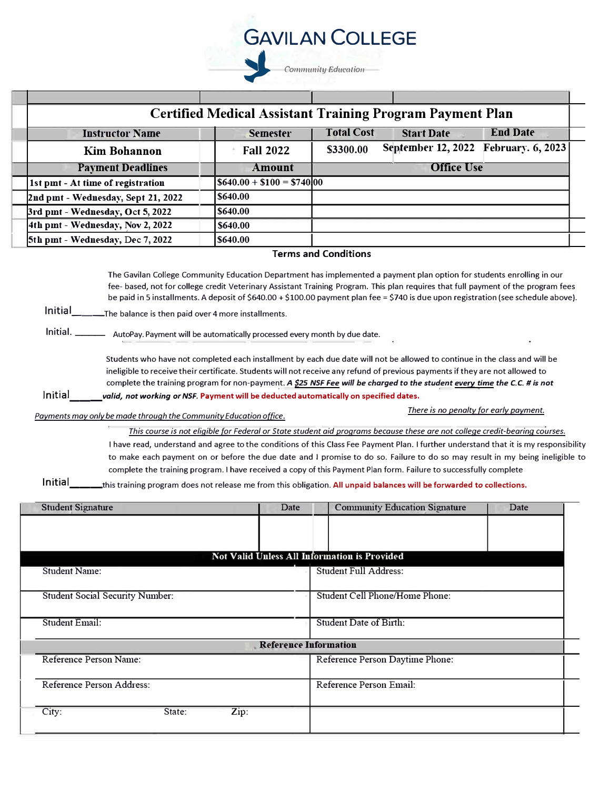

| <b>Certified Medical Assistant Training Program Payment Plan</b> |                                        |                   |                           |                          |  |  |  |  |  |
|------------------------------------------------------------------|----------------------------------------|-------------------|---------------------------|--------------------------|--|--|--|--|--|
| <b>Instructor Name</b>                                           | <b>Semester</b>                        | <b>Total Cost</b> | <b>Start Date</b>         | <b>End Date</b>          |  |  |  |  |  |
| <b>Kim Bohannon</b>                                              | <b>Fall 2022</b>                       | \$3300.00         | <b>September 12, 2022</b> | <b>February.</b> 6, 2023 |  |  |  |  |  |
| <b>Payment Deadlines</b>                                         | Amount                                 |                   | <b>Office Use</b>         |                          |  |  |  |  |  |
| 1st pint - At time of registration                               | $\left  640.00 + 100 \right  = 574000$ |                   |                           |                          |  |  |  |  |  |
| 2nd pmt - Wednesday, Sept 21, 2022                               | <b>S640.00</b>                         |                   |                           |                          |  |  |  |  |  |
| 3rd pmt - Wednesday, Oct 5, 2022                                 | <b>S640.00</b>                         |                   |                           |                          |  |  |  |  |  |
| 4th pmt - Wednesday, Nov 2, 2022                                 | <b>S640.00</b>                         |                   |                           |                          |  |  |  |  |  |
| 5th pmt - Wednesday, Dec 7, 2022                                 | <b>S640.00</b>                         |                   |                           |                          |  |  |  |  |  |
| <b>Terms and Conditions</b>                                      |                                        |                   |                           |                          |  |  |  |  |  |

The Gavilan College Community Education Department has implemented a payment plan option for students enrolling in our fee- based, not for college credit Veterinary Assistant Training Program. This plan requires that full payment of the program fees be paid in S installments. A deposit of \$640.00 + \$100.00 payment plan fee= \$740 is due upon registration (see schedule above).

**Initial** The balance is then paid over 4 more installments.

AutoPay. Payment will be automatically processed every month by due date. lnitial. \_\_\_\_\_\_

Students who have not completed each installment by each due date will not be allowed to continue in the class and will be ineligible to receive their certificate. Students will not receive any refund of previous payments if they are not allowed to complete the training program for non-payment. A \$25 NSF Fee will be charged to the student every time the C.C. # is not Initial *all valid, not working or NSF. Payment will be deducted automatically on specified dates.* 

*Payments may only be made through the Community Education office. There is no penalty for early payment.* 

*This course* is *not eligible for Federal or State student aid programs because these are not college credit-bearing courses.* I have read, understand and agree to the conditions of this Class Fee Payment Plan. I further understand that it is my responsibility to make each payment on or before the due date and I promise to do so. Failure to do so may result in my being ineligible to complete the training program. I have received a copy of this Payment Plan form. Failure to successfully complete

**lnitial \_\_\_ this** training program does not release me from this obligation. **All unpaid balances will be forwarded** *to* **collections.**

| <b>Student Signature</b>               | Date                         | <b>Community Education Signature</b>                | Date |  |  |  |
|----------------------------------------|------------------------------|-----------------------------------------------------|------|--|--|--|
|                                        |                              |                                                     |      |  |  |  |
|                                        |                              |                                                     |      |  |  |  |
|                                        |                              | <b>Not Valid Unless All Information is Provided</b> |      |  |  |  |
| <b>Student Name:</b>                   |                              | <b>Student Full Address:</b>                        |      |  |  |  |
|                                        |                              |                                                     |      |  |  |  |
| <b>Student Social Security Number:</b> |                              | <b>Student Cell Phone/Home Phone:</b>               |      |  |  |  |
|                                        |                              |                                                     |      |  |  |  |
| <b>Student Email:</b>                  |                              | <b>Student Date of Birth:</b>                       |      |  |  |  |
|                                        | <b>Reference Information</b> |                                                     |      |  |  |  |
| Reference Person Name:                 |                              | Reference Person Daytime Phone:                     |      |  |  |  |
|                                        |                              |                                                     |      |  |  |  |
| Reference Person Address:              |                              | Reference Person Email:                             |      |  |  |  |
|                                        |                              |                                                     |      |  |  |  |
| City:<br>Zip:<br>State:                |                              |                                                     |      |  |  |  |
|                                        |                              |                                                     |      |  |  |  |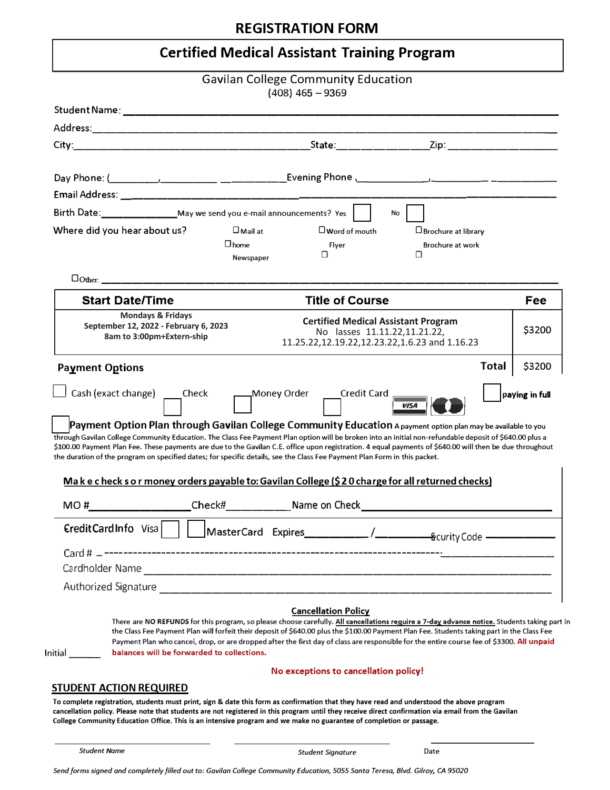## **REGISTRATION FORM**

## **Certified Medical Assistant Training Program**

|                                                                                                                                                                                                                                                                                                                                                                                                                                                                                                                                                                                                                                |                          | <b>Gavilan College Community Education</b><br>$(408)$ 465 - 9369                                                            |                                                                                                                                                                                                                                                                                                                                                                                                                                           |                |
|--------------------------------------------------------------------------------------------------------------------------------------------------------------------------------------------------------------------------------------------------------------------------------------------------------------------------------------------------------------------------------------------------------------------------------------------------------------------------------------------------------------------------------------------------------------------------------------------------------------------------------|--------------------------|-----------------------------------------------------------------------------------------------------------------------------|-------------------------------------------------------------------------------------------------------------------------------------------------------------------------------------------------------------------------------------------------------------------------------------------------------------------------------------------------------------------------------------------------------------------------------------------|----------------|
|                                                                                                                                                                                                                                                                                                                                                                                                                                                                                                                                                                                                                                |                          |                                                                                                                             |                                                                                                                                                                                                                                                                                                                                                                                                                                           |                |
|                                                                                                                                                                                                                                                                                                                                                                                                                                                                                                                                                                                                                                |                          |                                                                                                                             |                                                                                                                                                                                                                                                                                                                                                                                                                                           |                |
|                                                                                                                                                                                                                                                                                                                                                                                                                                                                                                                                                                                                                                |                          |                                                                                                                             |                                                                                                                                                                                                                                                                                                                                                                                                                                           |                |
|                                                                                                                                                                                                                                                                                                                                                                                                                                                                                                                                                                                                                                |                          |                                                                                                                             |                                                                                                                                                                                                                                                                                                                                                                                                                                           |                |
|                                                                                                                                                                                                                                                                                                                                                                                                                                                                                                                                                                                                                                |                          |                                                                                                                             |                                                                                                                                                                                                                                                                                                                                                                                                                                           |                |
|                                                                                                                                                                                                                                                                                                                                                                                                                                                                                                                                                                                                                                |                          |                                                                                                                             |                                                                                                                                                                                                                                                                                                                                                                                                                                           |                |
| Birth Date: ___________________May we send you e-mail announcements? Yes                                                                                                                                                                                                                                                                                                                                                                                                                                                                                                                                                       |                          |                                                                                                                             | No                                                                                                                                                                                                                                                                                                                                                                                                                                        |                |
| Where did you hear about us?                                                                                                                                                                                                                                                                                                                                                                                                                                                                                                                                                                                                   | $\square$ Mail at        | $\square$ Word of mouth                                                                                                     | $\square$ Brochure at library                                                                                                                                                                                                                                                                                                                                                                                                             |                |
|                                                                                                                                                                                                                                                                                                                                                                                                                                                                                                                                                                                                                                | $\Box$ home<br>Newspaper | Flyer<br>□                                                                                                                  | <b>Brochure at work</b><br>Ω                                                                                                                                                                                                                                                                                                                                                                                                              |                |
| Dother: ________________                                                                                                                                                                                                                                                                                                                                                                                                                                                                                                                                                                                                       |                          |                                                                                                                             |                                                                                                                                                                                                                                                                                                                                                                                                                                           |                |
| <b>Start Date/Time</b>                                                                                                                                                                                                                                                                                                                                                                                                                                                                                                                                                                                                         |                          | <b>Title of Course</b>                                                                                                      |                                                                                                                                                                                                                                                                                                                                                                                                                                           | Fee            |
| <b>Mondays &amp; Fridays</b><br>September 12, 2022 - February 6, 2023<br>8am to 3:00pm+Extern-ship                                                                                                                                                                                                                                                                                                                                                                                                                                                                                                                             |                          | <b>Certified Medical Assistant Program</b><br>No lasses 11.11.22,11.21.22,<br>11.25.22,12.19.22,12.23.22,1.6.23 and 1.16.23 |                                                                                                                                                                                                                                                                                                                                                                                                                                           | \$3200         |
| <b>Payment Options</b><br>Cash (exact change) _____ Check<br>Payment Option Plan through Gavilan College Community Education A payment option plan may be available to you<br>through Gavilan College Community Education. The Class Fee Payment Plan option will be broken into an initial non-refundable deposit of \$640.00 plus a<br>\$100.00 Payment Plan Fee. These payments are due to the Gavilan C.E. office upon registration. 4 equal payments of \$640.00 will then be due throughout<br>the duration of the program on specified dates; for specific details, see the Class Fee Payment Plan Form in this packet. | Money Order Cr           | Credit Card                                                                                                                 | <b>VISA</b>                                                                                                                                                                                                                                                                                                                                                                                                                               | paying in full |
| Make check so r money orders payable to: Gavilan College (\$20 charge for all returned checks)                                                                                                                                                                                                                                                                                                                                                                                                                                                                                                                                 |                          |                                                                                                                             |                                                                                                                                                                                                                                                                                                                                                                                                                                           |                |
| MO #_____________________Check#___________________Name on Check_________________                                                                                                                                                                                                                                                                                                                                                                                                                                                                                                                                               |                          |                                                                                                                             |                                                                                                                                                                                                                                                                                                                                                                                                                                           |                |
| $EredictCardInfo$ Visa $\vert \vert$                                                                                                                                                                                                                                                                                                                                                                                                                                                                                                                                                                                           |                          |                                                                                                                             |                                                                                                                                                                                                                                                                                                                                                                                                                                           |                |
| $Card# = -$                                                                                                                                                                                                                                                                                                                                                                                                                                                                                                                                                                                                                    |                          |                                                                                                                             |                                                                                                                                                                                                                                                                                                                                                                                                                                           |                |
|                                                                                                                                                                                                                                                                                                                                                                                                                                                                                                                                                                                                                                |                          |                                                                                                                             |                                                                                                                                                                                                                                                                                                                                                                                                                                           |                |
| balances will be forwarded to collections.<br>Initial                                                                                                                                                                                                                                                                                                                                                                                                                                                                                                                                                                          |                          | <b>Cancellation Policy</b>                                                                                                  | There are NO REFUNDS for this program, so please choose carefully. All cancellations require a 7-day advance notice. Students taking part in<br>the Class Fee Payment Plan will forfeit their deposit of \$640.00 plus the \$100.00 Payment Plan Fee. Students taking part in the Class Fee<br>Payment Plan who cancel, drop, or are dropped after the first day of class are responsible for the entire course fee of \$3300. All unpaid |                |
|                                                                                                                                                                                                                                                                                                                                                                                                                                                                                                                                                                                                                                |                          | No exceptions to cancellation policy!                                                                                       |                                                                                                                                                                                                                                                                                                                                                                                                                                           |                |
| <b>STUDENT ACTION REQUIRED</b>                                                                                                                                                                                                                                                                                                                                                                                                                                                                                                                                                                                                 |                          |                                                                                                                             |                                                                                                                                                                                                                                                                                                                                                                                                                                           |                |

To complete registration, students must print, sign & date this form as confirmation that they have read and understood the above program cancellation policy. Please note that students are not registered in this program until they receive direct confirmation via email from the Gavilan College Community Education Office. This is an intensive program and we make no guarantee of completion or passage.

*Student Name Student Signature*

**Date**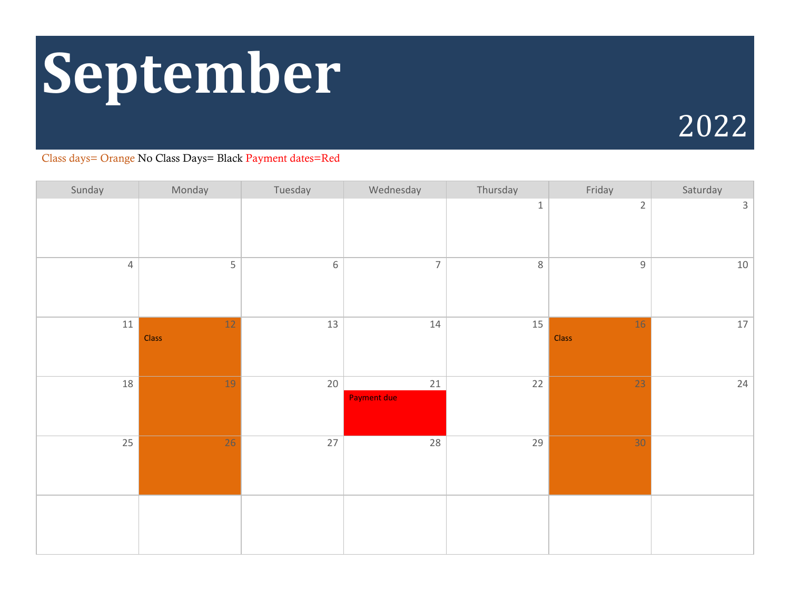# **September**

# 2022

| Sunday         | Monday          | Tuesday     | Wednesday                    | Thursday | Friday      | Saturday     |
|----------------|-----------------|-------------|------------------------------|----------|-------------|--------------|
|                |                 |             |                              | $\,1\,$  | $\sqrt{2}$  | $\mathsf{3}$ |
| $\overline{4}$ | 5               | $\,$ 6 $\,$ | $\overline{7}$               | $\,8\,$  | $\mathsf g$ | 10           |
| 11             | $12\,$<br>Class | 13          | 14                           | 15       | 16<br>Class | $17\,$       |
| 18             | 19              | $20\,$      | $21\,$<br><b>Payment due</b> | 22       | 23          | 24           |
| 25             | $\overline{26}$ | 27          | 28                           | 29       | 30          |              |
|                |                 |             |                              |          |             |              |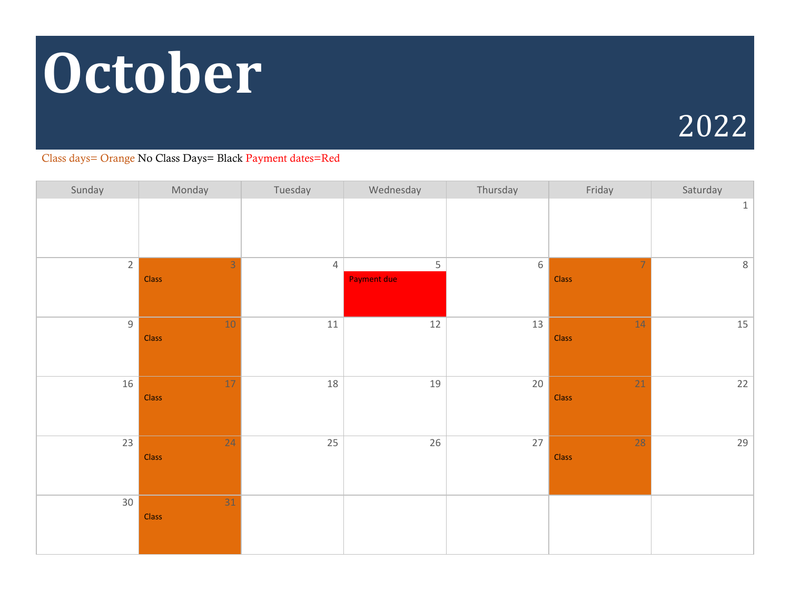# **October**



| Sunday         | Monday                  | Tuesday        | Wednesday               | Thursday    | Friday                  | Saturday     |
|----------------|-------------------------|----------------|-------------------------|-------------|-------------------------|--------------|
|                |                         |                |                         |             |                         | $\mathbf{1}$ |
| $2^{\circ}$    | $\overline{3}$<br>Class | $\overline{4}$ | 5<br><b>Payment due</b> | $\,$ 6 $\,$ | $\overline{7}$<br>Class | $8\,$        |
| $\overline{9}$ | 10<br><b>Class</b>      | $11\,$         | $12$                    | 13          | 14<br>Class             | 15           |
| 16             | 17<br><b>Class</b>      | 18             | 19                      | 20          | 21<br>Class             | $22$         |
| 23             | 24<br><b>Class</b>      | 25             | 26                      | 27          | 28<br>Class             | 29           |
| 30             | 31<br>Class             |                |                         |             |                         |              |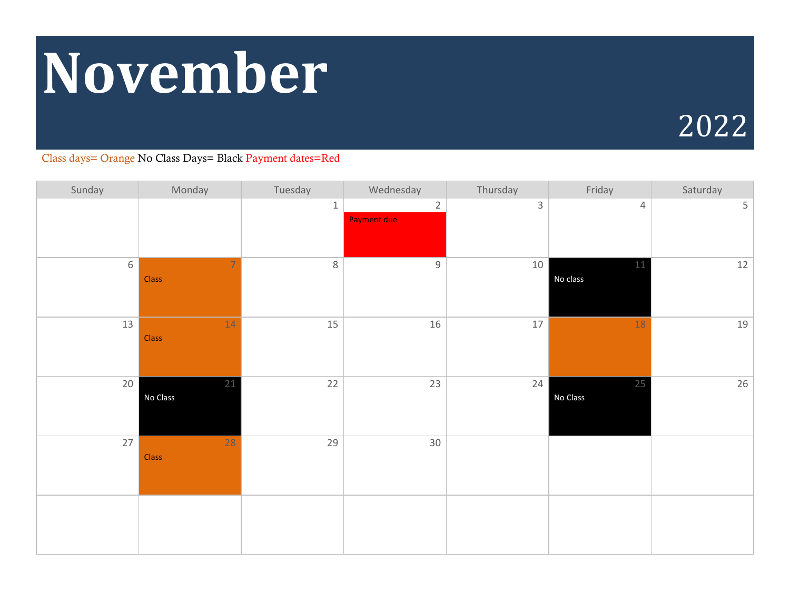# **November**

# 2022

| Sunday | Monday                  | Tuesday | Wednesday                            | Thursday     | Friday             | Saturday |
|--------|-------------------------|---------|--------------------------------------|--------------|--------------------|----------|
|        |                         | $\,1\,$ | $\overline{2}$<br><b>Payment due</b> | $\mathsf{3}$ | $\overline{4}$     | 5        |
| 6      | $\overline{7}$<br>Class | $\,8\,$ | $9\,$                                | 10           | $11\,$<br>No class | $12\,$   |
| 13     | 14<br>Class             | 15      | 16                                   | $17\,$       | 18                 | 19       |
| 20     | 21<br>No Class          | 22      | 23                                   | 24           | 25<br>No Class     | 26       |
| 27     | 28<br>Class             | 29      | 30 <sup>°</sup>                      |              |                    |          |
|        |                         |         |                                      |              |                    |          |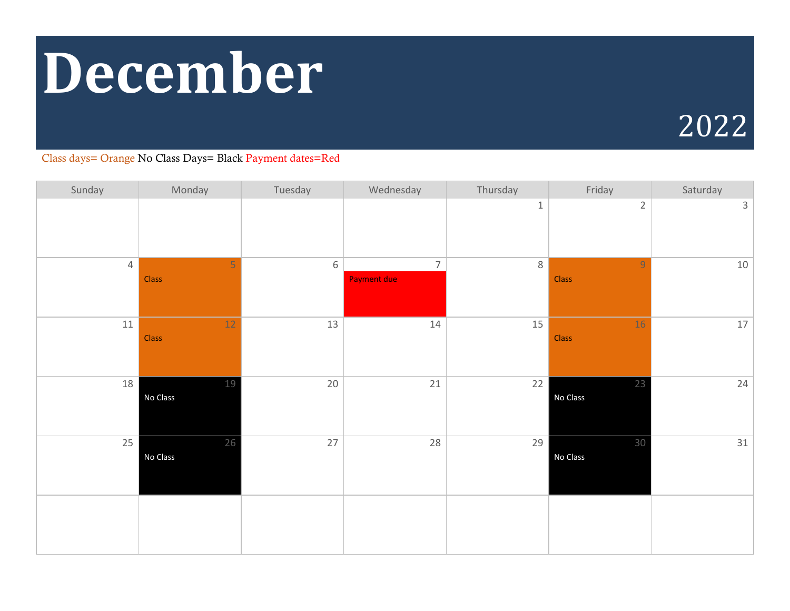# **December**

# 2022

| Sunday         | Monday          | Tuesday | Wednesday                            | Thursday | Friday                  | Saturday     |
|----------------|-----------------|---------|--------------------------------------|----------|-------------------------|--------------|
|                |                 |         |                                      | $\,1\,$  | $\sqrt{2}$              | $\mathbf{3}$ |
| $\overline{4}$ | 5<br>Class      | $\,6\,$ | $\overline{7}$<br><b>Payment due</b> | $8\,$    | $\overline{9}$<br>Class | 10           |
| 11             | $12\,$<br>Class | 13      | 14                                   | 15       | 16<br>Class             | $17\,$       |
| 18             | 19<br>No Class  | 20      | $21\,$                               | 22       | 23<br>No Class          | 24           |
| 25             | 26<br>No Class  | 27      | 28                                   | 29       | 30<br>No Class          | 31           |
|                |                 |         |                                      |          |                         |              |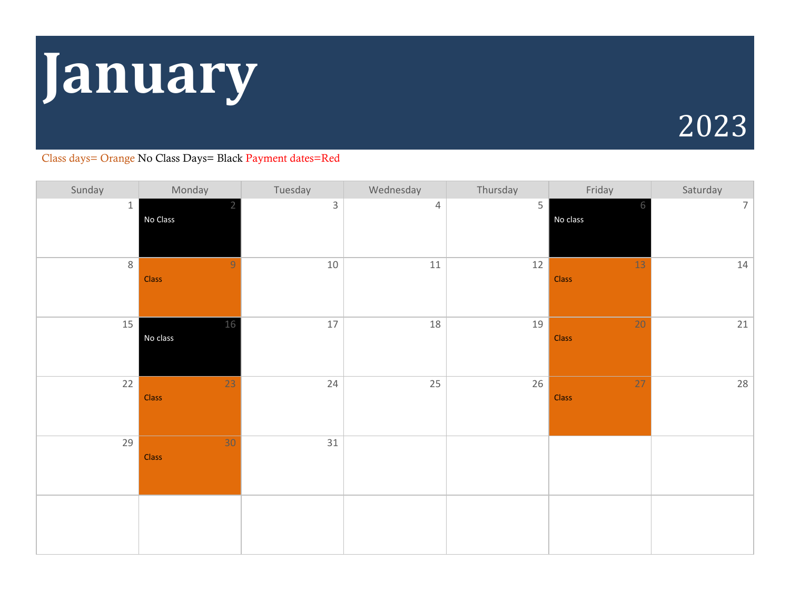# **January**

# 2023

| Sunday         | Monday                  | Tuesday      | Wednesday      | Thursday | Friday                   | Saturday |
|----------------|-------------------------|--------------|----------------|----------|--------------------------|----------|
| $1 \mid$       | No Class                | $\mathsf{3}$ | $\overline{4}$ | 5        | 6<br>No class            | 7        |
| 8 <sup>7</sup> | $\overline{9}$<br>Class | $10\,$       | $11\,$         | 12       | 13<br>Class              | 14       |
| 15             | 16<br>No class          | 17           | 18             | 19       | 20<br>Class              | 21       |
| 22             | 23<br>Class             | 24           | 25             | 26       | $\overline{27}$<br>Class | 28       |
| 29             | 30<br>Class             | 31           |                |          |                          |          |
|                |                         |              |                |          |                          |          |